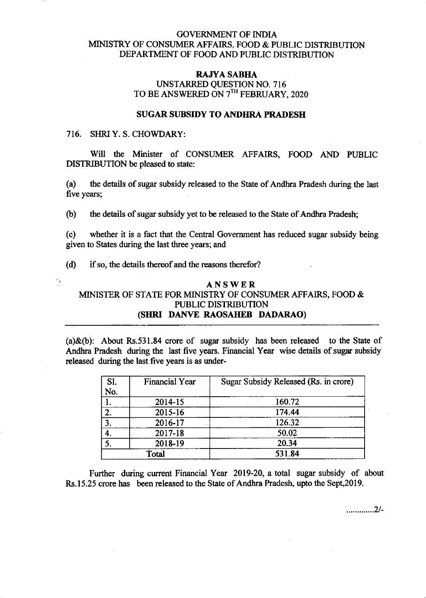## GOVERNMENT OF INDIA MINISTRY OF CONSUMER AFFAIRS. FOOD & PUBLIC DISTRIBUTION DEPARTMENT OF FOOD AND PUBLIC DISTRIBUTION

## RAJYA SABIIA UNSTARRED QUESTION NO. 716 TO BE ANSWERED ON 7TH FEBRUARY, 2O2O

# SUGAR SUBSIDY TO ANDHRA PRADESH

### 716. SHRIY. S. CHOWDARY:

 $\tilde{\phi}$ 

Will the Minister of CONSUMER AFFAIRS, FOOD AND PUBLIC DISTRIBUTION be pleased to state:

(a) the details of sugar subsidy released to the State of Andhra Pradesh during the last five years;

(b) the details of sugar subsidy yet to be released to the State of Andhra Pradesh;

(c) whether it is a fact that the Central Government has reduced sugar subsidy being given to States during the last three years; and

(d) if so, the details thereof and the reasons therefor?

#### ANSWER

MINISTER OF STATE FOR MINISTRY OF CONSUMER AFFAIRS, FOOD & PUBLIC DISTRIBUTION (SHRI DANVE RAOSAHEB DADARAO)

(a) $\&$ (b): About Rs.531.84 crore of sugar subsidy has been released to the State of Andhra Pradesh during the last five years. Financial Year wise details of sugar subsidy released during the last five years is as under-

| <b>S1.</b><br>No. | <b>Financial Year</b> | Sugar Subsidy Released (Rs. in crore) |
|-------------------|-----------------------|---------------------------------------|
|                   |                       |                                       |
|                   | 2014-15               | 160.72                                |
| 2.                | 2015-16               | 174.44                                |
| 3.                | 2016-17               | 126.32                                |
| 4.                | 2017-18               | 50.02                                 |
| 5.                | 2018-19               | 20.34                                 |
| Total             |                       | 531.84                                |

Funher during current Financial Year 2019-20, a total sugar subsidy of about Rs.15.25 crore has been released to the State of Andhra Pradesh, upto the Sept, 2019.

..............2/-